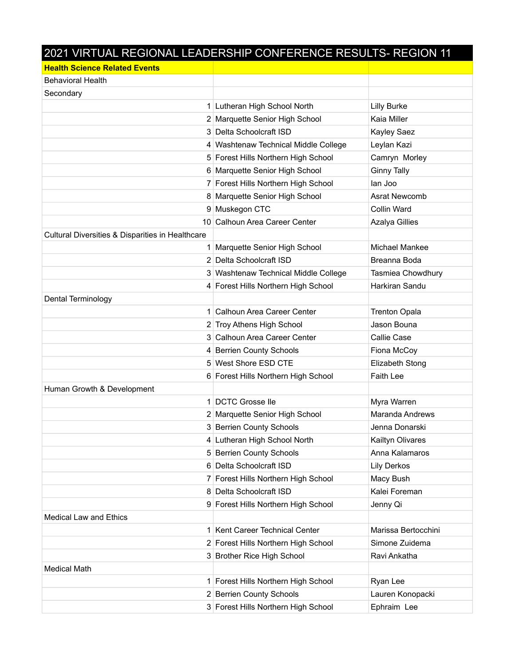## 2021 VIRTUAL REGIONAL LEADERSHIP CONFERENCE RESULTS- REGION 11

| <b>Health Science Related Events</b>             |                                      |                       |
|--------------------------------------------------|--------------------------------------|-----------------------|
| <b>Behavioral Health</b>                         |                                      |                       |
| Secondary                                        |                                      |                       |
|                                                  | 1 Lutheran High School North         | <b>Lilly Burke</b>    |
|                                                  | 2 Marquette Senior High School       | Kaia Miller           |
|                                                  | 3 Delta Schoolcraft ISD              | Kayley Saez           |
|                                                  | 4 Washtenaw Technical Middle College | Leylan Kazi           |
|                                                  | 5 Forest Hills Northern High School  | Camryn Morley         |
|                                                  | 6 Marquette Senior High School       | <b>Ginny Tally</b>    |
|                                                  | 7 Forest Hills Northern High School  | lan Joo               |
|                                                  | 8 Marquette Senior High School       | Asrat Newcomb         |
|                                                  | 9 Muskegon CTC                       | Collin Ward           |
|                                                  | 10 Calhoun Area Career Center        | <b>Azalya Gillies</b> |
| Cultural Diversities & Disparities in Healthcare |                                      |                       |
|                                                  | 1 Marquette Senior High School       | Michael Mankee        |
|                                                  | 2 Delta Schoolcraft ISD              | Breanna Boda          |
|                                                  | 3 Washtenaw Technical Middle College | Tasmiea Chowdhury     |
|                                                  | 4 Forest Hills Northern High School  | Harkiran Sandu        |
| Dental Terminology                               |                                      |                       |
|                                                  | 1 Calhoun Area Career Center         | <b>Trenton Opala</b>  |
|                                                  | 2 Troy Athens High School            | Jason Bouna           |
|                                                  | 3 Calhoun Area Career Center         | Callie Case           |
|                                                  | 4 Berrien County Schools             | Fiona McCoy           |
|                                                  | 5 West Shore ESD CTE                 | Elizabeth Stong       |
|                                                  | 6 Forest Hills Northern High School  | <b>Faith Lee</b>      |
| Human Growth & Development                       |                                      |                       |
|                                                  | 1 DCTC Grosse lle                    | Myra Warren           |
|                                                  | 2 Marquette Senior High School       | Maranda Andrews       |
|                                                  | 3 Berrien County Schools             | Jenna Donarski        |
|                                                  | 4 Lutheran High School North         | Kailtyn Olivares      |
|                                                  | 5 Berrien County Schools             | Anna Kalamaros        |
|                                                  | 6 Delta Schoolcraft ISD              | <b>Lily Derkos</b>    |
|                                                  | 7 Forest Hills Northern High School  | Macy Bush             |
|                                                  | 8 Delta Schoolcraft ISD              | Kalei Foreman         |
|                                                  | 9 Forest Hills Northern High School  | Jenny Qi              |
| <b>Medical Law and Ethics</b>                    |                                      |                       |
|                                                  | 1 Kent Career Technical Center       | Marissa Bertocchini   |
|                                                  | 2 Forest Hills Northern High School  | Simone Zuidema        |
|                                                  | 3 Brother Rice High School           | Ravi Ankatha          |
| <b>Medical Math</b>                              |                                      |                       |
|                                                  | 1 Forest Hills Northern High School  | Ryan Lee              |
|                                                  | 2 Berrien County Schools             | Lauren Konopacki      |
|                                                  | 3 Forest Hills Northern High School  | Ephraim Lee           |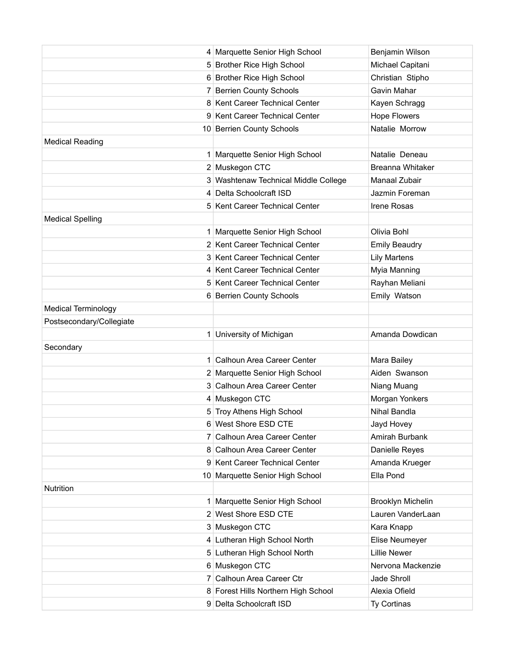|                            | 4 Marquette Senior High School       | Benjamin Wilson      |
|----------------------------|--------------------------------------|----------------------|
|                            | 5 Brother Rice High School           | Michael Capitani     |
|                            | 6 Brother Rice High School           | Christian Stipho     |
|                            | 7 Berrien County Schools             | Gavin Mahar          |
|                            | 8 Kent Career Technical Center       | Kayen Schragg        |
|                            | 9 Kent Career Technical Center       | <b>Hope Flowers</b>  |
|                            | 10 Berrien County Schools            | Natalie Morrow       |
| <b>Medical Reading</b>     |                                      |                      |
|                            | 1 Marquette Senior High School       | Natalie Deneau       |
|                            | 2 Muskegon CTC                       | Breanna Whitaker     |
|                            | 3 Washtenaw Technical Middle College | Manaal Zubair        |
|                            | 4 Delta Schoolcraft ISD              | Jazmin Foreman       |
|                            | 5 Kent Career Technical Center       | Irene Rosas          |
| <b>Medical Spelling</b>    |                                      |                      |
|                            | 1 Marquette Senior High School       | Olivia Bohl          |
|                            | 2 Kent Career Technical Center       | <b>Emily Beaudry</b> |
|                            | 3 Kent Career Technical Center       | <b>Lily Martens</b>  |
|                            | 4 Kent Career Technical Center       | Myia Manning         |
|                            | 5 Kent Career Technical Center       | Rayhan Meliani       |
|                            | 6 Berrien County Schools             | Emily Watson         |
| <b>Medical Terminology</b> |                                      |                      |
| Postsecondary/Collegiate   |                                      |                      |
|                            | 1 University of Michigan             | Amanda Dowdican      |
| Secondary                  |                                      |                      |
|                            | 1 Calhoun Area Career Center         | Mara Bailey          |
|                            | 2 Marquette Senior High School       | Aiden Swanson        |
|                            | 3 Calhoun Area Career Center         | Niang Muang          |
|                            | 4 Muskegon CTC                       | Morgan Yonkers       |
|                            | 5 Troy Athens High School            | Nihal Bandla         |
|                            | 6 West Shore ESD CTE                 | Jayd Hovey           |
|                            | 7 Calhoun Area Career Center         | Amirah Burbank       |
|                            | 8 Calhoun Area Career Center         | Danielle Reyes       |
|                            | 9 Kent Career Technical Center       | Amanda Krueger       |
|                            | 10 Marquette Senior High School      | Ella Pond            |
| <b>Nutrition</b>           |                                      |                      |
|                            | 1 Marquette Senior High School       | Brooklyn Michelin    |
|                            | 2 West Shore ESD CTE                 | Lauren VanderLaan    |
|                            | 3 Muskegon CTC                       | Kara Knapp           |
|                            | 4 Lutheran High School North         | Elise Neumeyer       |
|                            | 5 Lutheran High School North         | <b>Lillie Newer</b>  |
|                            | 6 Muskegon CTC                       | Nervona Mackenzie    |
|                            | 7 Calhoun Area Career Ctr            | Jade Shroll          |
|                            | 8 Forest Hills Northern High School  | Alexia Ofield        |
|                            | 9 Delta Schoolcraft ISD              | Ty Cortinas          |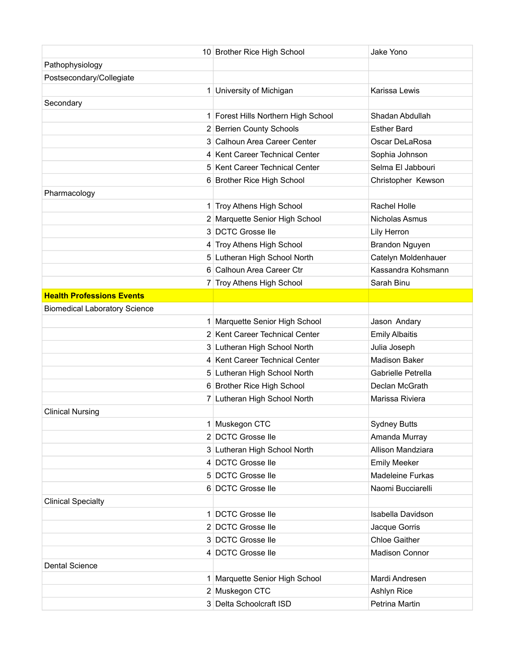|                                      | 10 Brother Rice High School         | Jake Yono             |
|--------------------------------------|-------------------------------------|-----------------------|
| Pathophysiology                      |                                     |                       |
| Postsecondary/Collegiate             |                                     |                       |
|                                      | 1 University of Michigan            | Karissa Lewis         |
| Secondary                            |                                     |                       |
|                                      | 1 Forest Hills Northern High School | Shadan Abdullah       |
|                                      | 2 Berrien County Schools            | <b>Esther Bard</b>    |
|                                      | 3 Calhoun Area Career Center        | Oscar DeLaRosa        |
|                                      | 4 Kent Career Technical Center      | Sophia Johnson        |
|                                      | 5 Kent Career Technical Center      | Selma El Jabbouri     |
|                                      | 6 Brother Rice High School          | Christopher Kewson    |
| Pharmacology                         |                                     |                       |
|                                      | 1 Troy Athens High School           | Rachel Holle          |
|                                      | 2 Marquette Senior High School      | Nicholas Asmus        |
|                                      | 3 DCTC Grosse lle                   | Lily Herron           |
|                                      | 4 Troy Athens High School           | <b>Brandon Nguyen</b> |
|                                      | 5 Lutheran High School North        | Catelyn Moldenhauer   |
|                                      | 6 Calhoun Area Career Ctr           | Kassandra Kohsmann    |
|                                      | 7 Troy Athens High School           | Sarah Binu            |
| <b>Health Professions Events</b>     |                                     |                       |
| <b>Biomedical Laboratory Science</b> |                                     |                       |
|                                      | 1 Marquette Senior High School      | Jason Andary          |
|                                      | 2 Kent Career Technical Center      | <b>Emily Albaitis</b> |
|                                      | 3 Lutheran High School North        | Julia Joseph          |
|                                      | 4 Kent Career Technical Center      | <b>Madison Baker</b>  |
|                                      | 5 Lutheran High School North        | Gabrielle Petrella    |
|                                      | 6 Brother Rice High School          | Declan McGrath        |
|                                      | 7 Lutheran High School North        | Marissa Riviera       |
| <b>Clinical Nursing</b>              |                                     |                       |
|                                      | 1 Muskegon CTC                      | <b>Sydney Butts</b>   |
|                                      | 2 DCTC Grosse lle                   | Amanda Murray         |
|                                      | 3 Lutheran High School North        | Allison Mandziara     |
|                                      | 4 DCTC Grosse lle                   | <b>Emily Meeker</b>   |
|                                      | 5 DCTC Grosse lle                   | Madeleine Furkas      |
|                                      | 6 DCTC Grosse lle                   | Naomi Bucciarelli     |
| <b>Clinical Specialty</b>            |                                     |                       |
|                                      | 1 DCTC Grosse lle                   | Isabella Davidson     |
|                                      | 2 DCTC Grosse lle                   | Jacque Gorris         |
|                                      | 3 DCTC Grosse lle                   | <b>Chloe Gaither</b>  |
|                                      | 4 DCTC Grosse lle                   | <b>Madison Connor</b> |
| <b>Dental Science</b>                |                                     |                       |
|                                      | 1 Marquette Senior High School      | Mardi Andresen        |
|                                      | 2 Muskegon CTC                      | Ashlyn Rice           |
|                                      | 3 Delta Schoolcraft ISD             | Petrina Martin        |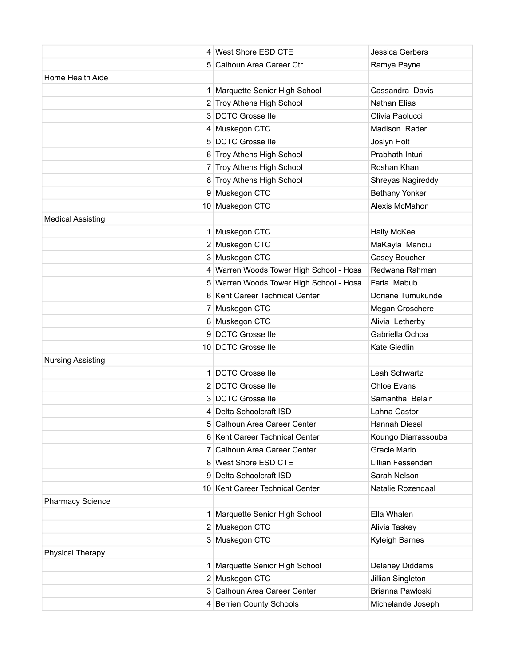|                          | 4 West Shore ESD CTE                    | Jessica Gerbers       |
|--------------------------|-----------------------------------------|-----------------------|
|                          | 5 Calhoun Area Career Ctr               | Ramya Payne           |
| Home Health Aide         |                                         |                       |
|                          | 1 Marquette Senior High School          | Cassandra Davis       |
|                          | 2 Troy Athens High School               | Nathan Elias          |
|                          | 3 DCTC Grosse lle                       | Olivia Paolucci       |
|                          | 4 Muskegon CTC                          | Madison Rader         |
|                          | 5 DCTC Grosse lle                       | Joslyn Holt           |
|                          | 6 Troy Athens High School               | Prabhath Inturi       |
|                          | 7 Troy Athens High School               | Roshan Khan           |
|                          | 8 Troy Athens High School               | Shreyas Nagireddy     |
|                          | 9 Muskegon CTC                          | <b>Bethany Yonker</b> |
|                          | 10 Muskegon CTC                         | Alexis McMahon        |
| <b>Medical Assisting</b> |                                         |                       |
|                          | 1 Muskegon CTC                          | Haily McKee           |
|                          | 2 Muskegon CTC                          | MaKayla Manciu        |
|                          | 3 Muskegon CTC                          | Casey Boucher         |
|                          | 4 Warren Woods Tower High School - Hosa | Redwana Rahman        |
|                          | 5 Warren Woods Tower High School - Hosa | Faria Mabub           |
|                          | 6 Kent Career Technical Center          | Doriane Tumukunde     |
|                          | 7 Muskegon CTC                          | Megan Croschere       |
|                          | 8 Muskegon CTC                          | Alivia Letherby       |
|                          | 9 DCTC Grosse lle                       | Gabriella Ochoa       |
|                          | 10 DCTC Grosse lle                      | <b>Kate Giedlin</b>   |
| <b>Nursing Assisting</b> |                                         |                       |
|                          | 1 DCTC Grosse lle                       | Leah Schwartz         |
|                          | 2 DCTC Grosse lle                       | <b>Chloe Evans</b>    |
|                          | 3 DCTC Grosse lle                       | Samantha Belair       |
|                          | 4 Delta Schoolcraft ISD                 | Lahna Castor          |
|                          | 5 Calhoun Area Career Center            | Hannah Diesel         |
|                          | 6 Kent Career Technical Center          | Koungo Diarrassouba   |
|                          | 7 Calhoun Area Career Center            | Gracie Mario          |
|                          | 8 West Shore ESD CTE                    | Lillian Fessenden     |
|                          | 9 Delta Schoolcraft ISD                 | Sarah Nelson          |
|                          | 10 Kent Career Technical Center         | Natalie Rozendaal     |
| <b>Pharmacy Science</b>  |                                         |                       |
|                          | 1 Marquette Senior High School          | Ella Whalen           |
|                          | 2 Muskegon CTC                          | Alivia Taskey         |
|                          | 3 Muskegon CTC                          | Kyleigh Barnes        |
| <b>Physical Therapy</b>  |                                         |                       |
|                          | 1 Marquette Senior High School          | Delaney Diddams       |
|                          | 2 Muskegon CTC                          | Jillian Singleton     |
|                          | 3 Calhoun Area Career Center            | Brianna Pawloski      |
|                          | 4 Berrien County Schools                | Michelande Joseph     |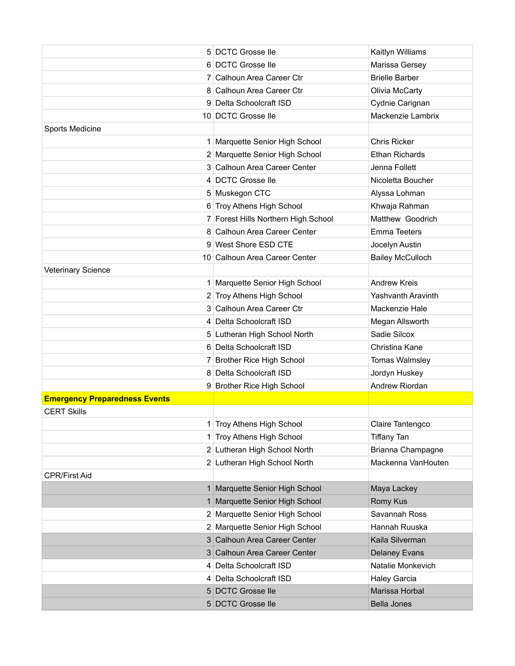|                                      | 5 DCTC Grosse lle                   | Kaitlyn Williams          |
|--------------------------------------|-------------------------------------|---------------------------|
|                                      | 6 DCTC Grosse lle                   | Marissa Gersey            |
|                                      | 7 Calhoun Area Career Ctr           | <b>Brielle Barber</b>     |
|                                      | 8 Calhoun Area Career Ctr           | Olivia McCarty            |
|                                      | 9 Delta Schoolcraft ISD             | Cydnie Carignan           |
|                                      | 10 DCTC Grosse lle                  | Mackenzie Lambrix         |
| Sports Medicine                      |                                     |                           |
|                                      | 1 Marquette Senior High School      | <b>Chris Ricker</b>       |
|                                      | 2 Marquette Senior High School      | <b>Ethan Richards</b>     |
|                                      | 3 Calhoun Area Career Center        | Jenna Follett             |
|                                      | 4 DCTC Grosse lle                   | Nicoletta Boucher         |
|                                      | 5 Muskegon CTC                      | Alyssa Lohman             |
|                                      | 6 Troy Athens High School           | Khwaja Rahman             |
|                                      | 7 Forest Hills Northern High School | Matthew Goodrich          |
|                                      | 8 Calhoun Area Career Center        | Emma Teeters              |
|                                      | 9 West Shore ESD CTE                | Jocelyn Austin            |
|                                      | 10 Calhoun Area Career Center       | <b>Bailey McCulloch</b>   |
| <b>Veterinary Science</b>            |                                     |                           |
|                                      | 1 Marquette Senior High School      | <b>Andrew Kreis</b>       |
|                                      | 2 Troy Athens High School           | <b>Yashvanth Aravinth</b> |
|                                      | 3 Calhoun Area Career Ctr           | Mackenzie Hale            |
|                                      | 4 Delta Schoolcraft ISD             | Megan Allsworth           |
|                                      | 5 Lutheran High School North        | Sadie Silcox              |
|                                      | 6 Delta Schoolcraft ISD             | Christina Kane            |
|                                      | 7 Brother Rice High School          | <b>Tomas Walmsley</b>     |
|                                      | 8 Delta Schoolcraft ISD             | Jordyn Huskey             |
|                                      | 9 Brother Rice High School          | Andrew Riordan            |
| <b>Emergency Preparedness Events</b> |                                     |                           |
| <b>CERT Skills</b>                   |                                     |                           |
|                                      | Troy Athens High School             | Claire Tantengco          |
|                                      | 1 Troy Athens High School           | <b>Tiffany Tan</b>        |
|                                      | 2 Lutheran High School North        | Brianna Champagne         |
|                                      | 2 Lutheran High School North        | Mackenna VanHouten        |
| <b>CPR/First Aid</b>                 |                                     |                           |
|                                      | 1 Marquette Senior High School      | Maya Lackey               |
|                                      | 1 Marquette Senior High School      | Romy Kus                  |
|                                      | 2 Marquette Senior High School      | Savannah Ross             |
|                                      | 2 Marquette Senior High School      | Hannah Ruuska             |
|                                      | 3 Calhoun Area Career Center        | Kaila Silverman           |
|                                      | 3 Calhoun Area Career Center        | <b>Delaney Evans</b>      |
|                                      | 4 Delta Schoolcraft ISD             | Natalie Monkevich         |
|                                      | 4 Delta Schoolcraft ISD             | <b>Haley Garcia</b>       |
|                                      | 5 DCTC Grosse lle                   | Marissa Horbal            |
|                                      | 5 DCTC Grosse lle                   | <b>Bella Jones</b>        |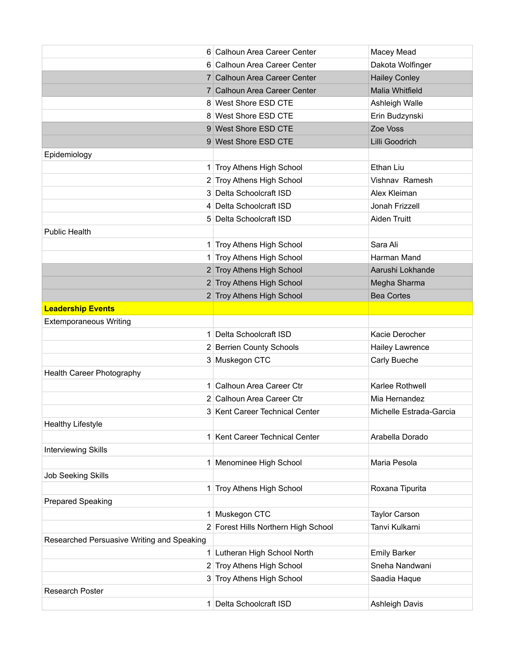|                                            | 6 Calhoun Area Career Center        | Macey Mead              |
|--------------------------------------------|-------------------------------------|-------------------------|
|                                            | 6 Calhoun Area Career Center        | Dakota Wolfinger        |
|                                            | 7 Calhoun Area Career Center        | <b>Hailey Conley</b>    |
|                                            | 7 Calhoun Area Career Center        | Malia Whitfield         |
|                                            | 8 West Shore ESD CTE                | Ashleigh Walle          |
|                                            | 8 West Shore ESD CTE                | Erin Budzynski          |
|                                            | 9 West Shore ESD CTE                | Zoe Voss                |
|                                            | 9 West Shore ESD CTE                | Lilli Goodrich          |
| Epidemiology                               |                                     |                         |
|                                            | 1 Troy Athens High School           | Ethan Liu               |
|                                            | 2 Troy Athens High School           | Vishnav Ramesh          |
|                                            | 3 Delta Schoolcraft ISD             | Alex Kleiman            |
|                                            | 4 Delta Schoolcraft ISD             | Jonah Frizzell          |
|                                            | 5 Delta Schoolcraft ISD             | Aiden Truitt            |
| <b>Public Health</b>                       |                                     |                         |
|                                            | 1 Troy Athens High School           | Sara Ali                |
|                                            | 1 Troy Athens High School           | Harman Mand             |
|                                            | 2 Troy Athens High School           | Aarushi Lokhande        |
|                                            | 2 Troy Athens High School           | Megha Sharma            |
|                                            | 2 Troy Athens High School           | <b>Bea Cortes</b>       |
| <b>Leadership Events</b>                   |                                     |                         |
| <b>Extemporaneous Writing</b>              |                                     |                         |
|                                            | 1 Delta Schoolcraft ISD             | Kacie Derocher          |
|                                            | 2 Berrien County Schools            | <b>Hailey Lawrence</b>  |
|                                            | 3 Muskegon CTC                      | Carly Bueche            |
| Health Career Photography                  |                                     |                         |
|                                            | 1 Calhoun Area Career Ctr           | Karlee Rothwell         |
|                                            | 2 Calhoun Area Career Ctr           | Mia Hernandez           |
|                                            | 3 Kent Career Technical Center      | Michelle Estrada-Garcia |
| <b>Healthy Lifestyle</b>                   |                                     |                         |
|                                            | 1 Kent Career Technical Center      | Arabella Dorado         |
| <b>Interviewing Skills</b>                 |                                     |                         |
|                                            | 1 Menominee High School             | Maria Pesola            |
| <b>Job Seeking Skills</b>                  |                                     |                         |
|                                            | 1 Troy Athens High School           | Roxana Tipurita         |
| Prepared Speaking                          |                                     |                         |
|                                            | 1 Muskegon CTC                      | <b>Taylor Carson</b>    |
|                                            | 2 Forest Hills Northern High School | Tanvi Kulkarni          |
| Researched Persuasive Writing and Speaking |                                     |                         |
|                                            | 1 Lutheran High School North        | <b>Emily Barker</b>     |
|                                            | 2 Troy Athens High School           | Sneha Nandwani          |
|                                            | 3 Troy Athens High School           | Saadia Haque            |
| Research Poster                            |                                     |                         |
|                                            | 1 Delta Schoolcraft ISD             | <b>Ashleigh Davis</b>   |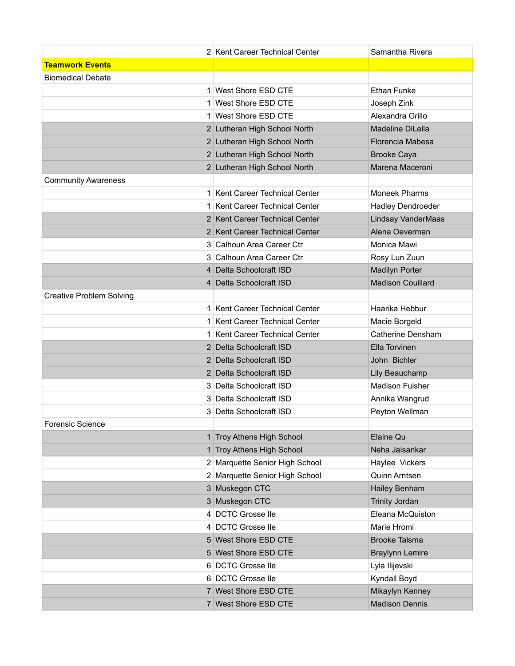|                                 | 2 Kent Career Technical Center | Samantha Rivera          |
|---------------------------------|--------------------------------|--------------------------|
| <b>Teamwork Events</b>          |                                |                          |
| <b>Biomedical Debate</b>        |                                |                          |
|                                 | 1 West Shore ESD CTE           | <b>Ethan Funke</b>       |
|                                 | 1 West Shore ESD CTE           | Joseph Zink              |
|                                 | 1 West Shore ESD CTE           | Alexandra Grillo         |
|                                 | 2 Lutheran High School North   | Madeline DiLella         |
|                                 | 2 Lutheran High School North   | Florencia Mabesa         |
|                                 | 2 Lutheran High School North   | <b>Brooke Caya</b>       |
|                                 | 2 Lutheran High School North   | Marena Maceroni          |
| <b>Community Awareness</b>      |                                |                          |
|                                 | 1 Kent Career Technical Center | <b>Moneek Pharms</b>     |
|                                 | 1 Kent Career Technical Center | <b>Hadley Dendroeder</b> |
|                                 | 2 Kent Career Technical Center | Lindsay VanderMaas       |
|                                 | 2 Kent Career Technical Center | Alena Oeverman           |
|                                 | 3 Calhoun Area Career Ctr      | Monica Mawi              |
|                                 | 3 Calhoun Area Career Ctr      | Rosy Lun Zuun            |
|                                 | 4 Delta Schoolcraft ISD        | <b>Madilyn Porter</b>    |
|                                 | 4 Delta Schoolcraft ISD        | <b>Madison Couillard</b> |
| <b>Creative Problem Solving</b> |                                |                          |
|                                 | 1 Kent Career Technical Center | Haarika Hebbur           |
|                                 | 1 Kent Career Technical Center | Macie Borgeld            |
|                                 | 1 Kent Career Technical Center | <b>Catherine Densham</b> |
|                                 | 2 Delta Schoolcraft ISD        | Ella Torvinen            |
|                                 | 2 Delta Schoolcraft ISD        | John Bichler             |
|                                 | 2 Delta Schoolcraft ISD        | Lily Beauchamp           |
|                                 | 3 Delta Schoolcraft ISD        | <b>Madison Fulsher</b>   |
|                                 | 3 Delta Schoolcraft ISD        | Annika Wangrud           |
|                                 | 3 Delta Schoolcraft ISD        | Peyton Wellman           |
| <b>Forensic Science</b>         |                                |                          |
|                                 | 1 Troy Athens High School      | Elaine Qu                |
|                                 | 1 Troy Athens High School      | Neha Jaisankar           |
|                                 | 2 Marquette Senior High School | Haylee Vickers           |
|                                 | 2 Marquette Senior High School | Quinn Arntsen            |
|                                 | 3 Muskegon CTC                 | Hailey Benham            |
|                                 | 3 Muskegon CTC                 | <b>Trinity Jordan</b>    |
|                                 | 4 DCTC Grosse lle              | Eleana McQuiston         |
|                                 | 4 DCTC Grosse lle              | Marie Hromi              |
|                                 | 5 West Shore ESD CTE           | <b>Brooke Talsma</b>     |
|                                 | 5 West Shore ESD CTE           | <b>Braylynn Lemire</b>   |
|                                 | 6 DCTC Grosse lle              | Lyla Ilijevski           |
|                                 | 6 DCTC Grosse lle              | Kyndall Boyd             |
|                                 | 7 West Shore ESD CTE           | Mikaylyn Kenney          |
|                                 | 7 West Shore ESD CTE           | <b>Madison Dennis</b>    |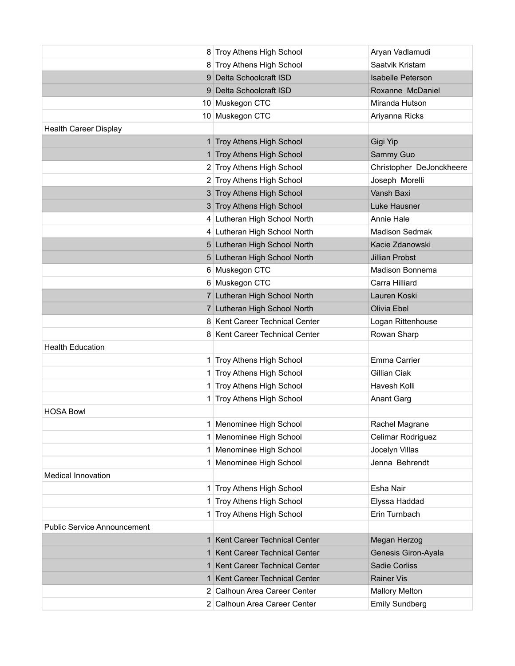|                                    | 8 Troy Athens High School      | Aryan Vadlamudi          |
|------------------------------------|--------------------------------|--------------------------|
|                                    | 8 Troy Athens High School      | Saatvik Kristam          |
|                                    | 9 Delta Schoolcraft ISD        | <b>Isabelle Peterson</b> |
|                                    | 9 Delta Schoolcraft ISD        | Roxanne McDaniel         |
|                                    | 10 Muskegon CTC                | Miranda Hutson           |
|                                    | 10 Muskegon CTC                | Ariyanna Ricks           |
| <b>Health Career Display</b>       |                                |                          |
|                                    | 1 Troy Athens High School      | Gigi Yip                 |
|                                    | 1 Troy Athens High School      | Sammy Guo                |
|                                    | 2 Troy Athens High School      | Christopher DeJonckheere |
|                                    | 2 Troy Athens High School      | Joseph Morelli           |
|                                    | 3 Troy Athens High School      | Vansh Baxi               |
|                                    | 3 Troy Athens High School      | Luke Hausner             |
|                                    | 4 Lutheran High School North   | <b>Annie Hale</b>        |
|                                    | 4 Lutheran High School North   | Madison Sedmak           |
|                                    | 5 Lutheran High School North   | Kacie Zdanowski          |
|                                    | 5 Lutheran High School North   | <b>Jillian Probst</b>    |
|                                    | 6 Muskegon CTC                 | Madison Bonnema          |
|                                    | 6 Muskegon CTC                 | Carra Hilliard           |
|                                    | 7 Lutheran High School North   | Lauren Koski             |
|                                    | 7 Lutheran High School North   | Olivia Ebel              |
|                                    | 8 Kent Career Technical Center | Logan Rittenhouse        |
|                                    | 8 Kent Career Technical Center | Rowan Sharp              |
| <b>Health Education</b>            |                                |                          |
|                                    | 1 Troy Athens High School      | Emma Carrier             |
|                                    | 1 Troy Athens High School      | Gillian Ciak             |
|                                    | 1 Troy Athens High School      | Havesh Kolli             |
|                                    | 1 Troy Athens High School      | <b>Anant Garg</b>        |
| <b>HOSA Bowl</b>                   |                                |                          |
|                                    | 1 Menominee High School        | Rachel Magrane           |
|                                    | 1 Menominee High School        | Celimar Rodriguez        |
|                                    | 1 Menominee High School        | Jocelyn Villas           |
|                                    | 1 Menominee High School        | Jenna Behrendt           |
| Medical Innovation                 |                                |                          |
|                                    | 1 Troy Athens High School      | Esha Nair                |
|                                    | 1 Troy Athens High School      | Elyssa Haddad            |
|                                    | 1 Troy Athens High School      | Erin Turnbach            |
| <b>Public Service Announcement</b> |                                |                          |
|                                    | 1 Kent Career Technical Center | Megan Herzog             |
|                                    | 1 Kent Career Technical Center | Genesis Giron-Ayala      |
|                                    | 1 Kent Career Technical Center | Sadie Corliss            |
|                                    | 1 Kent Career Technical Center | <b>Rainer Vis</b>        |
|                                    | 2 Calhoun Area Career Center   | <b>Mallory Melton</b>    |
|                                    | 2 Calhoun Area Career Center   | <b>Emily Sundberg</b>    |